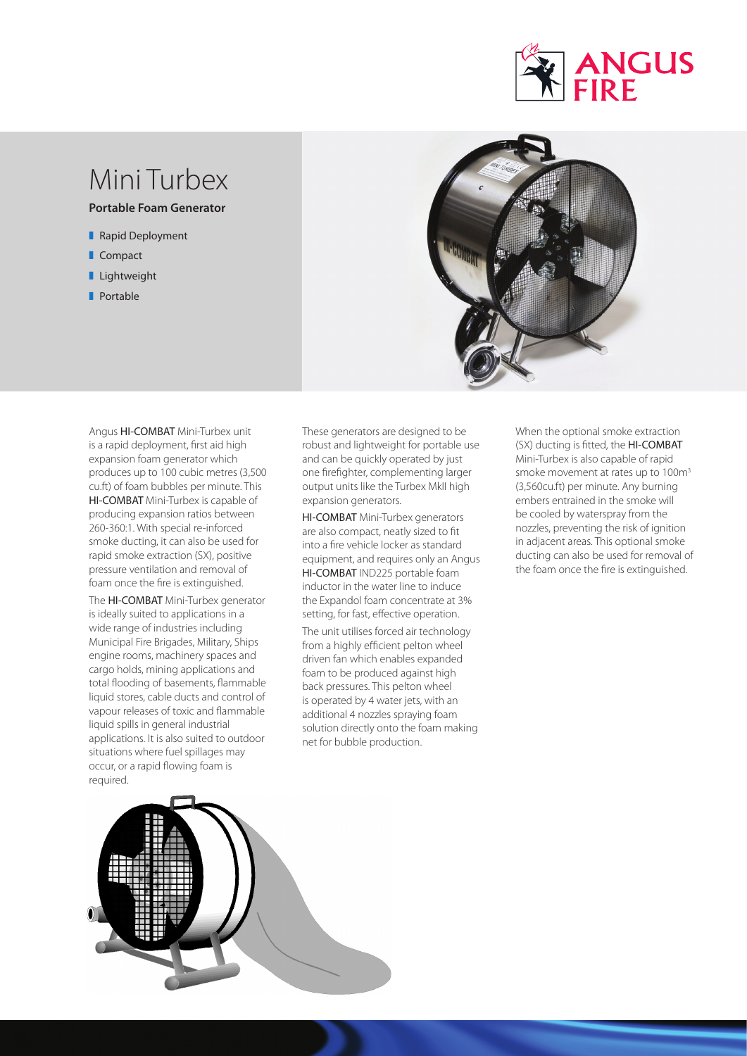

# Mini Turbex

**Portable Foam Generator** 

- Rapid Deployment
- **Compact**
- **Lightweight**
- **P**ortable



Angus HI-COMBAT Mini-Turbex unit is a rapid deployment, first aid high expansion foam generator which produces up to 100 cubic metres (3,500 cu.ft) of foam bubbles per minute. This HI-COMBAT Mini-Turbex is capable of producing expansion ratios between 260-360:1. With special re-inforced smoke ducting, it can also be used for rapid smoke extraction (SX), positive pressure ventilation and removal of foam once the fire is extinguished.

The HI-COMBAT Mini-Turbex generator is ideally suited to applications in a wide range of industries including Municipal Fire Brigades, Military, Ships engine rooms, machinery spaces and cargo holds, mining applications and total flooding of basements, flammable liquid stores, cable ducts and control of vapour releases of toxic and flammable liquid spills in general industrial applications. It is also suited to outdoor situations where fuel spillages may occur, or a rapid flowing foam is required.

These generators are designed to be robust and lightweight for portable use and can be quickly operated by just one firefighter, complementing larger output units like the Turbex MkII high expansion generators.

HI-COMBAT Mini-Turbex generators are also compact, neatly sized to fit into a fire vehicle locker as standard equipment, and requires only an Angus HI-COMBAT IND225 portable foam inductor in the water line to induce the Expandol foam concentrate at 3% setting, for fast, effective operation.

The unit utilises forced air technology from a highly efficient pelton wheel driven fan which enables expanded foam to be produced against high back pressures. This pelton wheel is operated by 4 water jets, with an additional 4 nozzles spraying foam solution directly onto the foam making net for bubble production.

When the optional smoke extraction (SX) ducting is fitted, the HI-COMBAT Mini-Turbex is also capable of rapid smoke movement at rates up to 100m<sup>3</sup> (3,560cu.ft) per minute. Any burning embers entrained in the smoke will be cooled by waterspray from the nozzles, preventing the risk of ignition in adjacent areas. This optional smoke ducting can also be used for removal of the foam once the fire is extinguished.